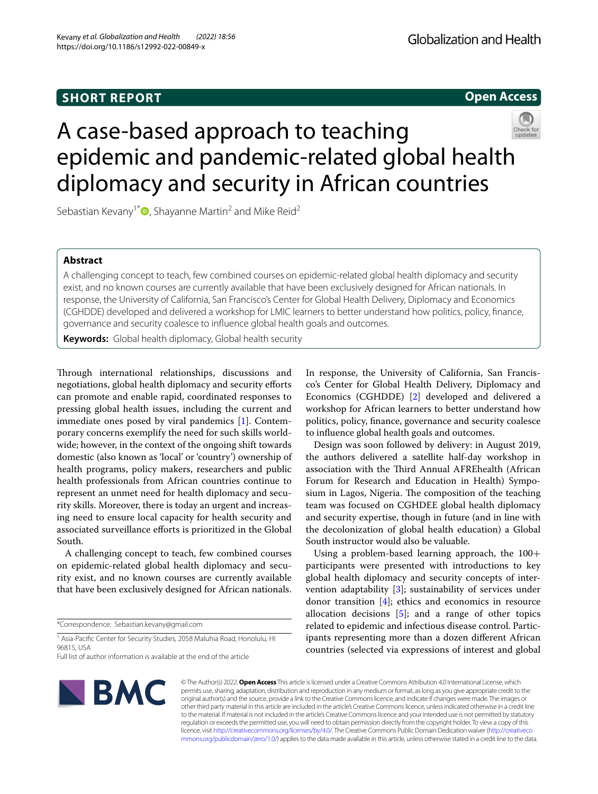## **SHORT REPORT**





# A case-based approach to teaching epidemic and pandemic-related global health diplomacy and security in African countries

Sebastian Kevany<sup>1[\\*](http://orcid.org/0000-0001-5440-6637)</sup><sup> $\bullet$ </sup>, Shayanne Martin<sup>2</sup> and Mike Reid<sup>2</sup>

### **Abstract**

A challenging concept to teach, few combined courses on epidemic-related global health diplomacy and security exist, and no known courses are currently available that have been exclusively designed for African nationals. In response, the University of California, San Francisco's Center for Global Health Delivery, Diplomacy and Economics (CGHDDE) developed and delivered a workshop for LMIC learners to better understand how politics, policy, fnance, governance and security coalesce to infuence global health goals and outcomes.

**Keywords:** Global health diplomacy, Global health security

Through international relationships, discussions and negotiations, global health diplomacy and security eforts can promote and enable rapid, coordinated responses to pressing global health issues, including the current and immediate ones posed by viral pandemics [[1\]](#page-1-0). Contemporary concerns exemplify the need for such skills worldwide; however, in the context of the ongoing shift towards domestic (also known as 'local' or 'country') ownership of health programs, policy makers, researchers and public health professionals from African countries continue to represent an unmet need for health diplomacy and security skills. Moreover, there is today an urgent and increasing need to ensure local capacity for health security and associated surveillance efforts is prioritized in the Global South.

A challenging concept to teach, few combined courses on epidemic-related global health diplomacy and security exist, and no known courses are currently available that have been exclusively designed for African nationals.

\*Correspondence: Sebastian.kevany@gmail.com

<sup>1</sup> Asia-Pacific Center for Security Studies, 2058 Maluhia Road, Honolulu, HI 96815, USA

Full list of author information is available at the end of the article

In response, the University of California, San Francisco's Center for Global Health Delivery, Diplomacy and Economics (CGHDDE) [\[2\]](#page-1-1) developed and delivered a workshop for African learners to better understand how politics, policy, fnance, governance and security coalesce to infuence global health goals and outcomes.

Design was soon followed by delivery: in August 2019, the authors delivered a satellite half-day workshop in association with the Third Annual AFREhealth (African Forum for Research and Education in Health) Symposium in Lagos, Nigeria. The composition of the teaching team was focused on CGHDEE global health diplomacy and security expertise, though in future (and in line with the decolonization of global health education) a Global South instructor would also be valuable.

Using a problem-based learning approach, the 100+ participants were presented with introductions to key global health diplomacy and security concepts of intervention adaptability [\[3](#page-1-2)]; sustainability of services under donor transition [[4\]](#page-1-3); ethics and economics in resource allocation decisions  $[5]$  $[5]$ ; and a range of other topics related to epidemic and infectious disease control. Participants representing more than a dozen diferent African countries (selected via expressions of interest and global



© The Author(s) 2022. **Open Access** This article is licensed under a Creative Commons Attribution 4.0 International License, which permits use, sharing, adaptation, distribution and reproduction in any medium or format, as long as you give appropriate credit to the original author(s) and the source, provide a link to the Creative Commons licence, and indicate if changes were made. The images or other third party material in this article are included in the article's Creative Commons licence, unless indicated otherwise in a credit line to the material. If material is not included in the article's Creative Commons licence and your intended use is not permitted by statutory regulation or exceeds the permitted use, you will need to obtain permission directly from the copyright holder. To view a copy of this licence, visit [http://creativecommons.org/licenses/by/4.0/.](http://creativecommons.org/licenses/by/4.0/) The Creative Commons Public Domain Dedication waiver ([http://creativeco](http://creativecommons.org/publicdomain/zero/1.0/) [mmons.org/publicdomain/zero/1.0/](http://creativecommons.org/publicdomain/zero/1.0/)) applies to the data made available in this article, unless otherwise stated in a credit line to the data.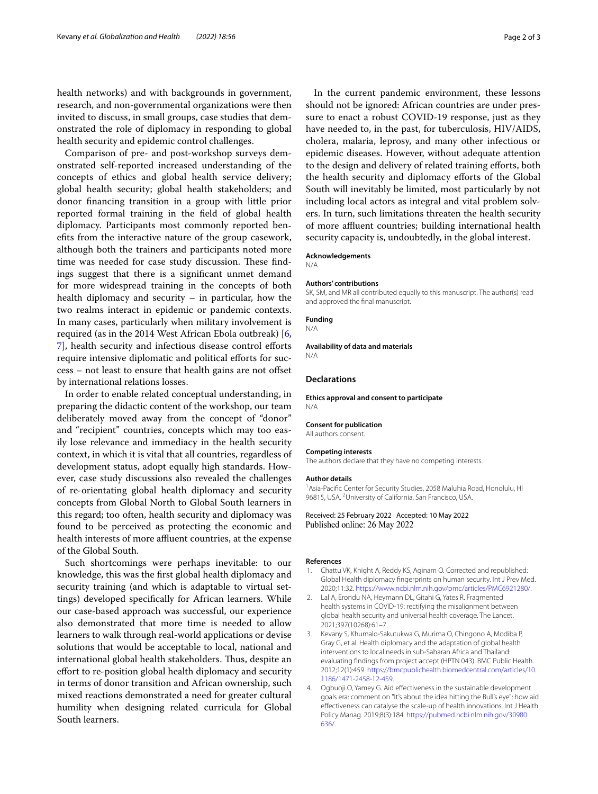health networks) and with backgrounds in government, research, and non-governmental organizations were then invited to discuss, in small groups, case studies that demonstrated the role of diplomacy in responding to global health security and epidemic control challenges.

Comparison of pre- and post-workshop surveys demonstrated self-reported increased understanding of the concepts of ethics and global health service delivery; global health security; global health stakeholders; and donor fnancing transition in a group with little prior reported formal training in the feld of global health diplomacy. Participants most commonly reported benefts from the interactive nature of the group casework, although both the trainers and participants noted more time was needed for case study discussion. These findings suggest that there is a signifcant unmet demand for more widespread training in the concepts of both health diplomacy and security – in particular, how the two realms interact in epidemic or pandemic contexts. In many cases, particularly when military involvement is required (as in the 2014 West African Ebola outbreak) [\[6](#page-2-1), [7\]](#page-2-2), health security and infectious disease control eforts require intensive diplomatic and political efforts for success – not least to ensure that health gains are not ofset by international relations losses.

In order to enable related conceptual understanding, in preparing the didactic content of the workshop, our team deliberately moved away from the concept of "donor" and "recipient" countries, concepts which may too easily lose relevance and immediacy in the health security context, in which it is vital that all countries, regardless of development status, adopt equally high standards. However, case study discussions also revealed the challenges of re-orientating global health diplomacy and security concepts from Global North to Global South learners in this regard; too often, health security and diplomacy was found to be perceived as protecting the economic and health interests of more affluent countries, at the expense of the Global South.

Such shortcomings were perhaps inevitable: to our knowledge, this was the frst global health diplomacy and security training (and which is adaptable to virtual settings) developed specifcally for African learners. While our case-based approach was successful, our experience also demonstrated that more time is needed to allow learners to walk through real-world applications or devise solutions that would be acceptable to local, national and international global health stakeholders. Thus, despite an effort to re-position global health diplomacy and security in terms of donor transition and African ownership, such mixed reactions demonstrated a need for greater cultural humility when designing related curricula for Global South learners.

In the current pandemic environment, these lessons should not be ignored: African countries are under pressure to enact a robust COVID-19 response, just as they have needed to, in the past, for tuberculosis, HIV/AIDS, cholera, malaria, leprosy, and many other infectious or epidemic diseases. However, without adequate attention to the design and delivery of related training eforts, both the health security and diplomacy efforts of the Global South will inevitably be limited, most particularly by not including local actors as integral and vital problem solvers. In turn, such limitations threaten the health security of more affluent countries; building international health security capacity is, undoubtedly, in the global interest.

#### **Acknowledgements**

N/A

#### **Authors' contributions**

SK, SM, and MR all contributed equally to this manuscript. The author(s) read and approved the fnal manuscript.

#### **Funding**

N/A

#### **Availability of data and materials**

N/A

#### **Declarations**

**Ethics approval and consent to participate** N/A

#### **Consent for publication**

All authors consent.

#### **Competing interests**

The authors declare that they have no competing interests.

#### **Author details**

<sup>1</sup> Asia-Pacific Center for Security Studies, 2058 Maluhia Road, Honolulu, HI 96815, USA. <sup>2</sup> University of California, San Francisco, USA.

#### Received: 25 February 2022 Accepted: 10 May 2022 Published online: 26 May 2022

#### **References**

- <span id="page-1-0"></span>1. Chattu VK, Knight A, Reddy KS, Aginam O. Corrected and republished: Global Health diplomacy fngerprints on human security. Int J Prev Med. 2020;11:32. [https://www.ncbi.nlm.nih.gov/pmc/articles/PMC6921280/.](https://www.ncbi.nlm.nih.gov/pmc/articles/PMC6921280/)
- <span id="page-1-1"></span>2. Lal A, Erondu NA, Heymann DL, Gitahi G, Yates R. Fragmented health systems in COVID-19: rectifying the misalignment between global health security and universal health coverage. The Lancet. 2021;397(10268):61–7.
- <span id="page-1-2"></span>3. Kevany S, Khumalo-Sakutukwa G, Murima O, Chingono A, Modiba P, Gray G, et al. Health diplomacy and the adaptation of global health interventions to local needs in sub-Saharan Africa and Thailand: evaluating fndings from project accept (HPTN 043). BMC Public Health. 2012;12(1):459. [https://bmcpublichealth.biomedcentral.com/articles/10.](https://bmcpublichealth.biomedcentral.com/articles/10.1186/1471-2458-12-459) [1186/1471-2458-12-459](https://bmcpublichealth.biomedcentral.com/articles/10.1186/1471-2458-12-459).
- <span id="page-1-3"></span>4. Ogbuoji O, Yamey G. Aid efectiveness in the sustainable development goals era: comment on "It's about the idea hitting the Bull's eye": how aid efectiveness can catalyse the scale-up of health innovations. Int J Health Policy Manag. 2019;8(3):184. [https://pubmed.ncbi.nlm.nih.gov/30980](https://pubmed.ncbi.nlm.nih.gov/30980636/) [636/](https://pubmed.ncbi.nlm.nih.gov/30980636/).